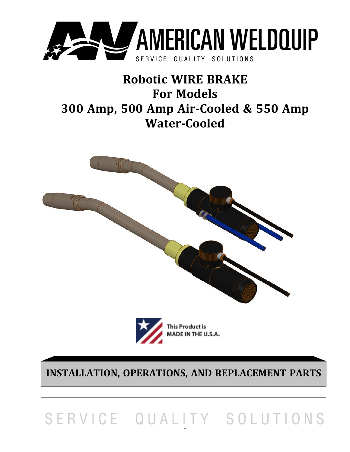

# **Robotic WIRE BRAKE For Models 300 Amp, 500 Amp Air‐Cooled & 550 Amp Water‐Cooled**





**INSTALLATION, OPERATIONS, AND REPLACEMENT PARTS**

 $\overline{a}$ 

# SERVICE QUALITY SOLUTIONS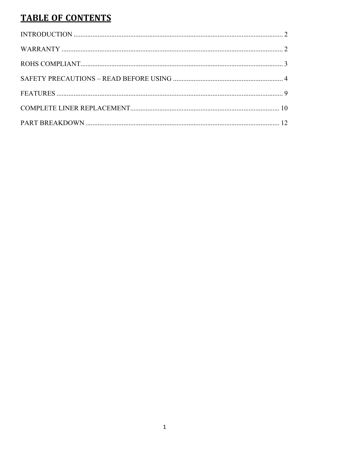# **TABLE OF CONTENTS**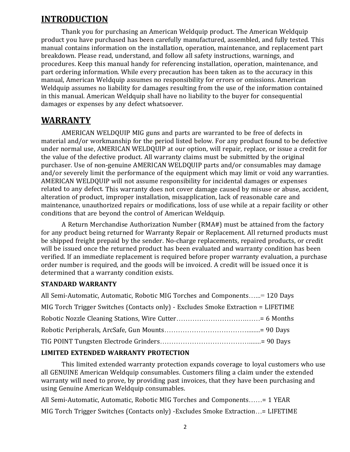#### **INTRODUCTION**

Thank you for purchasing an American Weldquip product. The American Weldquip product you have purchased has been carefully manufactured, assembled, and fully tested. This manual contains information on the installation, operation, maintenance, and replacement part breakdown. Please read, understand, and follow all safety instructions, warnings, and procedures. Keep this manual handy for referencing installation, operation, maintenance, and part ordering information. While every precaution has been taken as to the accuracy in this manual, American Weldquip assumes no responsibility for errors or omissions. American Weldquip assumes no liability for damages resulting from the use of the information contained in this manual. American Weldquip shall have no liability to the buyer for consequential damages or expenses by any defect whatsoever.

### **WARRANTY**

AMERICAN WELDQUIP MIG guns and parts are warranted to be free of defects in material and/or workmanship for the period listed below. For any product found to be defective under normal use, AMERICAN WELDQUIP at our option, will repair, replace, or issue a credit for the value of the defective product. All warranty claims must be submitted by the original purchaser. Use of non-genuine AMERICAN WELDQUIP parts and/or consumables may damage and/or severely limit the performance of the equipment which may limit or void any warranties. AMERICAN WELDQUIP will not assume responsibility for incidental damages or expenses related to any defect. This warranty does not cover damage caused by misuse or abuse, accident, alteration of product, improper installation, misapplication, lack of reasonable care and maintenance, unauthorized repairs or modifications, loss of use while at a repair facility or other conditions that are beyond the control of American Weldquip.

A Return Merchandise Authorization Number (RMA#) must be attained from the factory for any product being returned for Warranty Repair or Replacement. All returned products must be shipped freight prepaid by the sender. No-charge replacements, repaired products, or credit will be issued once the returned product has been evaluated and warranty condition has been verified. If an immediate replacement is required before proper warranty evaluation, a purchase order number is required, and the goods will be invoiced. A credit will be issued once it is determined that a warranty condition exists.

#### **STANDARD WARRANTY**

| All Semi-Automatic, Automatic, Robotic MIG Torches and Components= 120 Days       |
|-----------------------------------------------------------------------------------|
| MIG Torch Trigger Switches (Contacts only) - Excludes Smoke Extraction = LIFETIME |
|                                                                                   |
|                                                                                   |
|                                                                                   |

#### **LIMITED EXTENDED WARRANTY PROTECTION**

This limited extended warranty protection expands coverage to loyal customers who use all GENUINE American Weldquip consumables. Customers filing a claim under the extended warranty will need to prove, by providing past invoices, that they have been purchasing and using Genuine American Weldquip consumables.

All Semi-Automatic, Automatic, Robotic MIG Torches and Components……= 1 YEAR MIG Torch Trigger Switches (Contacts only) -Excludes Smoke Extraction…= LIFETIME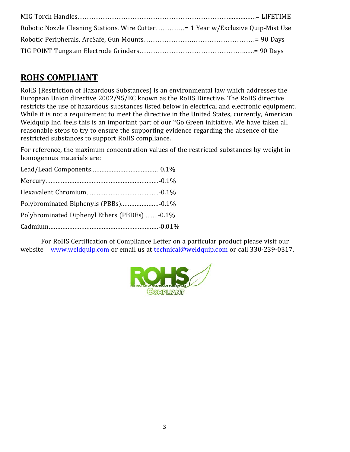| Robotic Nozzle Cleaning Stations, Wire Cutter 1 Year w/Exclusive Quip-Mist Use |  |
|--------------------------------------------------------------------------------|--|
|                                                                                |  |
|                                                                                |  |

# **ROHS COMPLIANT**

RoHS (Restriction of Hazardous Substances) is an environmental law which addresses the European Union directive 2002/95/EC known as the RoHS Directive. The RoHS directive restricts the use of hazardous substances listed below in electrical and electronic equipment. While it is not a requirement to meet the directive in the United States, currently, American Weldquip Inc. feels this is an important part of our "Go Green initiative. We have taken all reasonable steps to try to ensure the supporting evidence regarding the absence of the restricted substances to support RoHS compliance.

For reference, the maximum concentration values of the restricted substances by weight in homogenous materials are:

| Polybrominated Diphenyl Ethers (PBDEs)-0.1% |  |
|---------------------------------------------|--|
|                                             |  |

For RoHS Certification of Compliance Letter on a particular product please visit our website – www.weldquip.com or email us at technical@weldquip.com or call 330-239-0317.

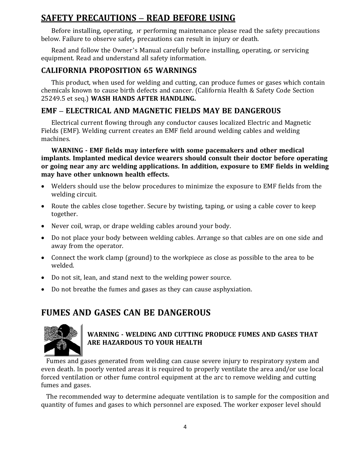# **SAFETY PRECAUTIONS – READ BEFORE USING**

Before installing, operating, or performing maintenance please read the safety precautions below. Failure to observe safety precautions can result in injury or death.

Read and follow the Owner's Manual carefully before installing, operating, or servicing equipment. Read and understand all safety information.

#### **CALIFORNIA PROPOSITION 65 WARNINGS**

This product, when used for welding and cutting, can produce fumes or gases which contain chemicals known to cause birth defects and cancer. (California Health & Safety Code Section 25249.5 et seq.) **WASH HANDS AFTER HANDLING.**

#### **EMF – ELECTRICAL AND MAGNETIC FIELDS MAY BE DANGEROUS**

Electrical current flowing through any conductor causes localized Electric and Magnetic Fields (EMF). Welding current creates an EMF field around welding cables and welding machines.

**WARNING ‐ EMF fields may interfere with some pacemakers and other medical implants. Implanted medical device wearers should consult their doctor before operating or going near any arc welding applications. In addition, exposure to EMF fields in welding may have other unknown health effects.**

- Welders should use the below procedures to minimize the exposure to EMF fields from the welding circuit.
- Route the cables close together. Secure by twisting, taping, or using a cable cover to keep together.
- Never coil, wrap, or drape welding cables around your body.
- Do not place your body between welding cables. Arrange so that cables are on one side and away from the operator.
- Connect the work clamp (ground) to the workpiece as close as possible to the area to be welded.
- Do not sit, lean, and stand next to the welding power source.
- Do not breathe the fumes and gases as they can cause asphyxiation.

# **FUMES AND GASES CAN BE DANGEROUS**



#### **WARNING ‐ WELDING AND CUTTING PRODUCE FUMES AND GASES THAT ARE HAZARDOUS TO YOUR HEALTH**

Fumes and gases generated from welding can cause severe injury to respiratory system and even death. In poorly vented areas it is required to properly ventilate the area and/or use local forced ventilation or other fume control equipment at the arc to remove welding and cutting fumes and gases.

The recommended way to determine adequate ventilation is to sample for the composition and quantity of fumes and gases to which personnel are exposed. The worker exposer level should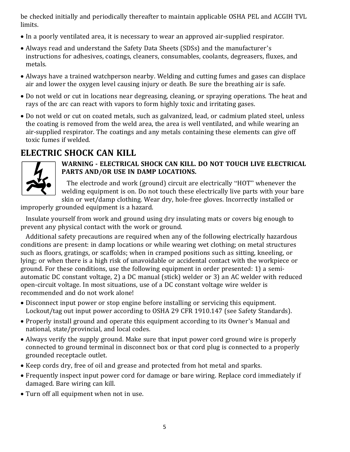be checked initially and periodically thereafter to maintain applicable OSHA PEL and ACGIH TVL limits.

- In a poorly ventilated area, it is necessary to wear an approved air-supplied respirator.
- Always read and understand the Safety Data Sheets (SDSs) and the manufacturer's instructions for adhesives, coatings, cleaners, consumables, coolants, degreasers, fluxes, and metals.
- Always have a trained watchperson nearby. Welding and cutting fumes and gases can displace air and lower the oxygen level causing injury or death. Be sure the breathing air is safe.
- Do not weld or cut in locations near degreasing, cleaning, or spraying operations. The heat and rays of the arc can react with vapors to form highly toxic and irritating gases.
- Do not weld or cut on coated metals, such as galvanized, lead, or cadmium plated steel, unless the coating is removed from the weld area, the area is well ventilated, and while wearing an air-supplied respirator. The coatings and any metals containing these elements can give off toxic fumes if welded.

# **ELECTRIC SHOCK CAN KILL**



#### **WARNING ‐ ELECTRICAL SHOCK CAN KILL. DO NOT TOUCH LIVE ELECTRICAL PARTS AND/OR USE IN DAMP LOCATIONS.**

The electrode and work (ground) circuit are electrically "HOT" whenever the welding equipment is on. Do not touch these electrically live parts with your bare skin or wet/damp clothing. Wear dry, hole-free gloves. Incorrectly installed or

improperly grounded equipment is a hazard.

Insulate yourself from work and ground using dry insulating mats or covers big enough to prevent any physical contact with the work or ground.

Additional safety precautions are required when any of the following electrically hazardous conditions are present: in damp locations or while wearing wet clothing; on metal structures such as floors, gratings, or scaffolds; when in cramped positions such as sitting, kneeling, or lying; or when there is a high risk of unavoidable or accidental contact with the workpiece or ground. For these conditions, use the following equipment in order presented: 1) a semiautomatic DC constant voltage, 2) a DC manual (stick) welder or 3) an AC welder with reduced open-circuit voltage. In most situations, use of a DC constant voltage wire welder is recommended and do not work alone!

- Disconnect input power or stop engine before installing or servicing this equipment. Lockout/tag out input power according to OSHA 29 CFR 1910.147 (see Safety Standards).
- Properly install ground and operate this equipment according to its Owner's Manual and national, state/provincial, and local codes.
- Always verify the supply ground. Make sure that input power cord ground wire is properly connected to ground terminal in disconnect box or that cord plug is connected to a properly grounded receptacle outlet.
- Keep cords dry, free of oil and grease and protected from hot metal and sparks.
- Frequently inspect input power cord for damage or bare wiring. Replace cord immediately if damaged. Bare wiring can kill.
- Turn off all equipment when not in use.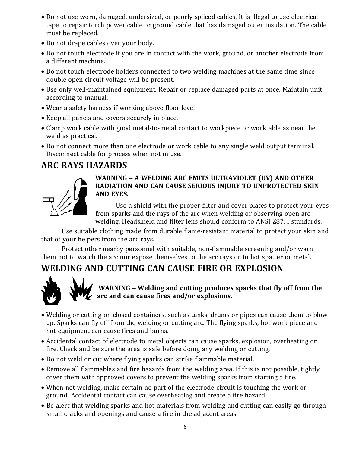- Do not use worn, damaged, undersized, or poorly spliced cables. It is illegal to use electrical tape to repair torch power cable or ground cable that has damaged outer insulation. The cable must be replaced.
- Do not drape cables over your body.
- Do not touch electrode if you are in contact with the work, ground, or another electrode from a different machine.
- Do not touch electrode holders connected to two welding machines at the same time since double open circuit voltage will be present.
- Use only well-maintained equipment. Repair or replace damaged parts at once. Maintain unit according to manual.
- Wear a safety harness if working above floor level.
- Keep all panels and covers securely in place.
- Clamp work cable with good metal-to-metal contact to workpiece or worktable as near the weld as practical.
- Do not connect more than one electrode or work cable to any single weld output terminal. Disconnect cable for process when not in use.

# **ARC RAYS HAZARDS**



#### **WARNING – A WELDING ARC EMITS ULTRAVIOLET (UV) AND OTHER RADIATION AND CAN CAUSE SERIOUS INJURY TO UNPROTECTED SKIN AND EYES.**

Use a shield with the proper filter and cover plates to protect your eyes from sparks and the rays of the arc when welding or observing open arc welding. Headshield and filter lens should conform to ANSI Z87. I standards.

Use suitable clothing made from durable flame-resistant material to protect your skin and that of your helpers from the arc rays.

Protect other nearby personnel with suitable, non-flammable screening and/or warn them not to watch the arc nor expose themselves to the arc rays or to hot spatter or metal.

# **WELDING AND CUTTING CAN CAUSE FIRE OR EXPLOSION**



**WARNING – Welding and cutting produces sparks that fly off from the arc and can cause fires and/or explosions.**

- Welding or cutting on closed containers, such as tanks, drums or pipes can cause them to blow up. Sparks can fly off from the welding or cutting arc. The flying sparks, hot work piece and hot equipment can cause fires and burns.
- Accidental contact of electrode to metal objects can cause sparks, explosion, overheating or fire. Check and be sure the area is safe before doing any welding or cutting.
- Do not weld or cut where flying sparks can strike flammable material.
- Remove all flammables and fire hazards from the welding area. If this is not possible, tightly cover them with approved covers to prevent the welding sparks from starting a fire.
- When not welding, make certain no part of the electrode circuit is touching the work or ground. Accidental contact can cause overheating and create a fire hazard.
- Be alert that welding sparks and hot materials from welding and cutting can easily go through small cracks and openings and cause a fire in the adjacent areas.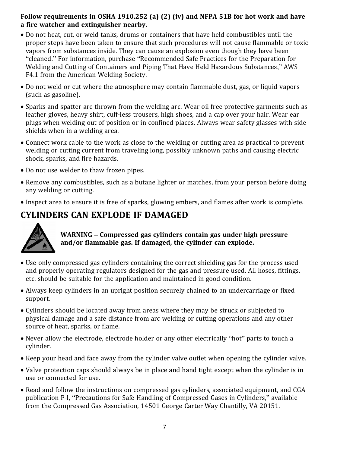#### **Follow requirements in OSHA 1910.252 (a) (2) (iv) and NFPA 51B for hot work and have a fire watcher and extinguisher nearby.**

- Do not heat, cut, or weld tanks, drums or containers that have held combustibles until the proper steps have been taken to ensure that such procedures will not cause flammable or toxic vapors from substances inside. They can cause an explosion even though they have been "cleaned." For information, purchase "Recommended Safe Practices for the Preparation for Welding and Cutting of Containers and Piping That Have Held Hazardous Substances," AWS F4.1 from the American Welding Society.
- Do not weld or cut where the atmosphere may contain flammable dust, gas, or liquid vapors (such as gasoline).
- Sparks and spatter are thrown from the welding arc. Wear oil free protective garments such as leather gloves, heavy shirt, cuff-less trousers, high shoes, and a cap over your hair. Wear ear plugs when welding out of position or in confined places. Always wear safety glasses with side shields when in a welding area.
- Connect work cable to the work as close to the welding or cutting area as practical to prevent welding or cutting current from traveling long, possibly unknown paths and causing electric shock, sparks, and fire hazards.
- Do not use welder to thaw frozen pipes.
- Remove any combustibles, such as a butane lighter or matches, from your person before doing any welding or cutting.
- Inspect area to ensure it is free of sparks, glowing embers, and flames after work is complete.

# **CYLINDERS CAN EXPLODE IF DAMAGED**



**WARNING – Compressed gas cylinders contain gas under high pressure and/or flammable gas. If damaged, the cylinder can explode.**

- Use only compressed gas cylinders containing the correct shielding gas for the process used and properly operating regulators designed for the gas and pressure used. All hoses, fittings, etc. should be suitable for the application and maintained in good condition.
- Always keep cylinders in an upright position securely chained to an undercarriage or fixed support.
- Cylinders should be located away from areas where they may be struck or subjected to physical damage and a safe distance from arc welding or cutting operations and any other source of heat, sparks, or flame.
- Never allow the electrode, electrode holder or any other electrically "hot" parts to touch a cylinder.
- Keep your head and face away from the cylinder valve outlet when opening the cylinder valve.
- Valve protection caps should always be in place and hand tight except when the cylinder is in use or connected for use.
- Read and follow the instructions on compressed gas cylinders, associated equipment, and CGA publication P-l, "Precautions for Safe Handling of Compressed Gases in Cylinders," available from the Compressed Gas Association, 14501 George Carter Way Chantilly, VA 20151.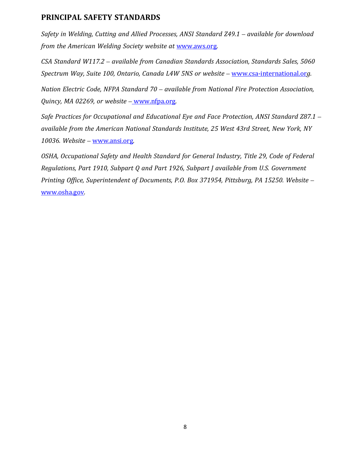#### **PRINCIPAL SAFETY STANDARDS**

*Safety in Welding, Cutting and Allied Processes, ANSI Standard Z49.1 – available for download from the American Welding Society website at* www.aws.org*.*

*CSA Standard W117.2 – available from Canadian Standards Association, Standards Sales, 5060 Spectrum Way, Suite 100, Ontario, Canada L4W 5NS or website –* www.csa-international.or*g.*

*Nation Electric Code, NFPA Standard 70 – available from National Fire Protection Association, Quincy, MA 02269, or website –* www.nfpa.org*.*

*Safe Practices for Occupational and Educational Eye and Face Protection, ANSI Standard Z87.1 – available from the American National Standards Institute, 25 West 43rd Street, New York, NY 10036. Website –* www.ansi.org*.*

*OSHA, Occupational Safety and Health Standard for General Industry, Title 29, Code of Federal Regulations, Part 1910, Subpart Q and Part 1926, Subpart J available from U.S. Government Printing Office, Superintendent of Documents, P.O. Box 371954, Pittsburg, PA 15250. Website –* www.osha.gov*.*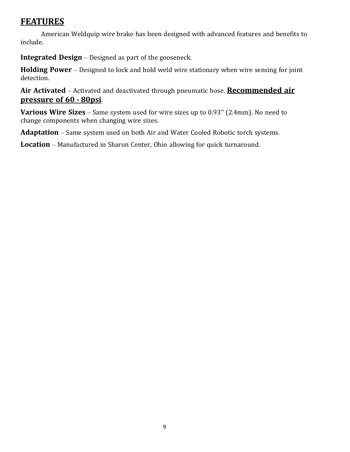# **FEATURES**

American Weldquip wire brake has been designed with advanced features and benefits to include.

**Integrated Design** – Designed as part of the gooseneck.

**Holding Power** – Designed to lock and hold weld wire stationary when wire sensing for joint detection.

**Air Activated** – Activated and deactivated through pneumatic hose. **Recommended air pressure of 60 ‐ 80psi**.

**Various Wire Sizes** – Same system used for wire sizes up to 0.93" (2.4mm). No need to change components when changing wire sizes.

**Adaptation** – Same system used on both Air and Water Cooled Robotic torch systems.

**Location** – Manufactured in Sharon Center, Ohio allowing for quick turnaround.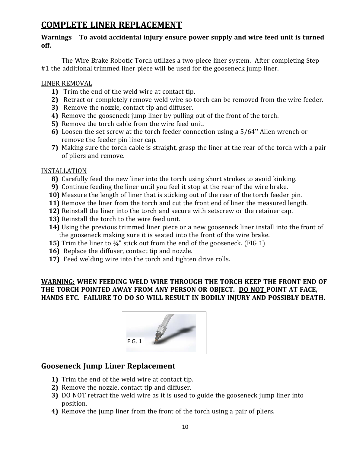# **COMPLETE LINER REPLACEMENT**

#### **Warnings – To avoid accidental injury ensure power supply and wire feed unit is turned off.**

The Wire Brake Robotic Torch utilizes a two-piece liner system. After completing Step #1 the additional trimmed liner piece will be used for the gooseneck jump liner.

#### LINER REMOVAL

- **1)** Trim the end of the weld wire at contact tip.
- **2)** Retract or completely remove weld wire so torch can be removed from the wire feeder.
- **3)** Remove the nozzle, contact tip and diffuser.
- **4)** Remove the gooseneck jump liner by pulling out of the front of the torch.
- **5)** Remove the torch cable from the wire feed unit.
- **6)** Loosen the set screw at the torch feeder connection using a 5/64" Allen wrench or remove the feeder pin liner cap.
- **7)** Making sure the torch cable is straight, grasp the liner at the rear of the torch with a pair of pliers and remove.

#### INSTALLATION

- **8)** Carefully feed the new liner into the torch using short strokes to avoid kinking.
- **9)** Continue feeding the liner until you feel it stop at the rear of the wire brake.
- **10)** Measure the length of liner that is sticking out of the rear of the torch feeder pin.
- **11)** Remove the liner from the torch and cut the front end of liner the measured length.
- **12)** Reinstall the liner into the torch and secure with setscrew or the retainer cap.
- **13)** Reinstall the torch to the wire feed unit.
- **14)** Using the previous trimmed liner piece or a new gooseneck liner install into the front of the gooseneck making sure it is seated into the front of the wire brake.
- **15)** Trim the liner to  $\frac{3}{4}$ " stick out from the end of the gooseneck. (FIG 1)
- **16)** Replace the diffuser, contact tip and nozzle.
- **17)** Feed welding wire into the torch and tighten drive rolls.

#### **WARNING: WHEN FEEDING WELD WIRE THROUGH THE TORCH KEEP THE FRONT END OF THE TORCH POINTED AWAY FROM ANY PERSON OR OBJECT. DO NOT POINT AT FACE, HANDS ETC. FAILURE TO DO SO WILL RESULT IN BODILY INJURY AND POSSIBLY DEATH.**



#### **Gooseneck Jump Liner Replacement**

- **1)** Trim the end of the weld wire at contact tip.
- **2)** Remove the nozzle, contact tip and diffuser.
- **3)** DO NOT retract the weld wire as it is used to guide the gooseneck jump liner into position.
- **4)** Remove the jump liner from the front of the torch using a pair of pliers.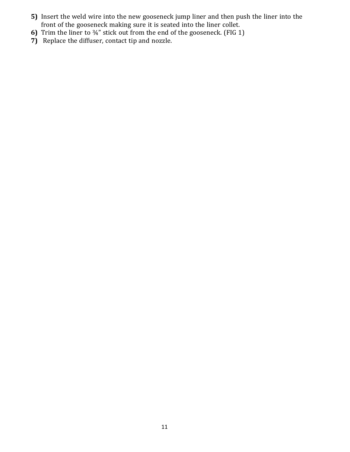- **5)** Insert the weld wire into the new gooseneck jump liner and then push the liner into the front of the gooseneck making sure it is seated into the liner collet.
- **6)** Trim the liner to ¾" stick out from the end of the gooseneck. (FIG 1)
- **7)** Replace the diffuser, contact tip and nozzle.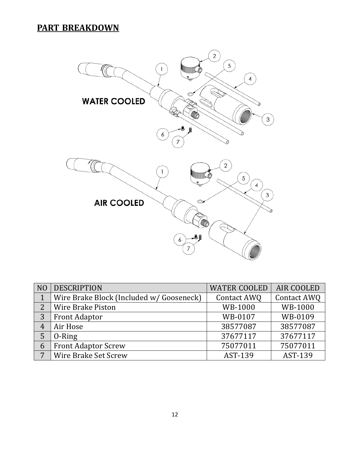# **PART BREAKDOWN**



| N <sub>O</sub> | <b>DESCRIPTION</b>                       | <b>WATER COOLED</b> | AIR COOLED  |
|----------------|------------------------------------------|---------------------|-------------|
|                | Wire Brake Block (Included w/ Gooseneck) | Contact AWQ         | Contact AWQ |
| $\overline{2}$ | <b>Wire Brake Piston</b>                 | WB-1000             | WB-1000     |
| 3              | <b>Front Adaptor</b>                     | WB-0107             | WB-0109     |
| $\overline{4}$ | Air Hose                                 | 38577087            | 38577087    |
|                | 0-Ring                                   | 37677117            | 37677117    |
| 6              | <b>Front Adaptor Screw</b>               | 75077011            | 75077011    |
| 7              | Wire Brake Set Screw                     | AST-139             | AST-139     |